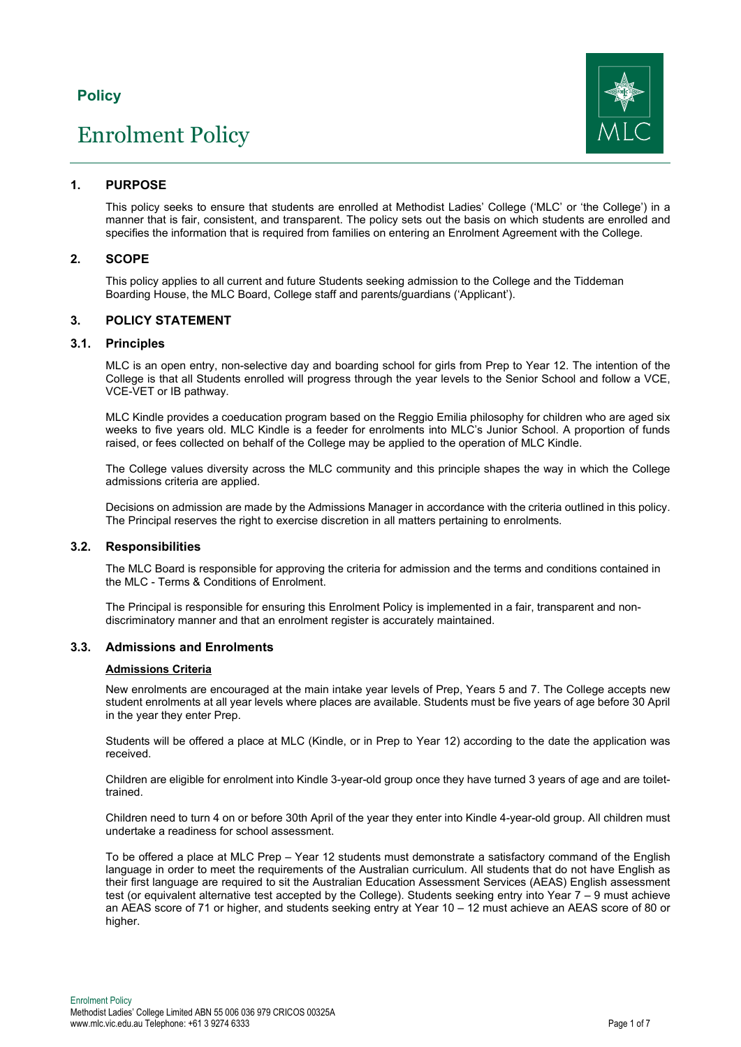## **Policy**

# Enrolment Policy



## **1. PURPOSE**

This policy seeks to ensure that students are enrolled at Methodist Ladies' College ('MLC' or 'the College') in a manner that is fair, consistent, and transparent. The policy sets out the basis on which students are enrolled and specifies the information that is required from families on entering an Enrolment Agreement with the College.

## **2. SCOPE**

This policy applies to all current and future Students seeking admission to the College and the Tiddeman Boarding House, the MLC Board, College staff and parents/guardians ('Applicant').

## **3. POLICY STATEMENT**

#### **3.1. Principles**

MLC is an open entry, non-selective day and boarding school for girls from Prep to Year 12. The intention of the College is that all Students enrolled will progress through the year levels to the Senior School and follow a VCE, VCE-VET or IB pathway.

MLC Kindle provides a coeducation program based on the Reggio Emilia philosophy for children who are aged six weeks to five years old. MLC Kindle is a feeder for enrolments into MLC's Junior School. A proportion of funds raised, or fees collected on behalf of the College may be applied to the operation of MLC Kindle.

The College values diversity across the MLC community and this principle shapes the way in which the College admissions criteria are applied.

Decisions on admission are made by the Admissions Manager in accordance with the criteria outlined in this policy. The Principal reserves the right to exercise discretion in all matters pertaining to enrolments.

## **3.2. Responsibilities**

The MLC Board is responsible for approving the criteria for admission and the terms and conditions contained in the MLC - Terms & Conditions of Enrolment.

The Principal is responsible for ensuring this Enrolment Policy is implemented in a fair, transparent and nondiscriminatory manner and that an enrolment register is accurately maintained.

## **3.3. Admissions and Enrolments**

#### **Admissions Criteria**

New enrolments are encouraged at the main intake year levels of Prep, Years 5 and 7. The College accepts new student enrolments at all year levels where places are available. Students must be five years of age before 30 April in the year they enter Prep.

Students will be offered a place at MLC (Kindle, or in Prep to Year 12) according to the date the application was received.

Children are eligible for enrolment into Kindle 3-year-old group once they have turned 3 years of age and are toilettrained.

Children need to turn 4 on or before 30th April of the year they enter into Kindle 4-year-old group. All children must undertake a readiness for school assessment.

To be offered a place at MLC Prep – Year 12 students must demonstrate a satisfactory command of the English language in order to meet the requirements of the Australian curriculum. All students that do not have English as their first language are required to sit the Australian Education Assessment Services (AEAS) English assessment test (or equivalent alternative test accepted by the College). Students seeking entry into Year 7 - 9 must achieve an AEAS score of 71 or higher, and students seeking entry at Year 10 – 12 must achieve an AEAS score of 80 or higher.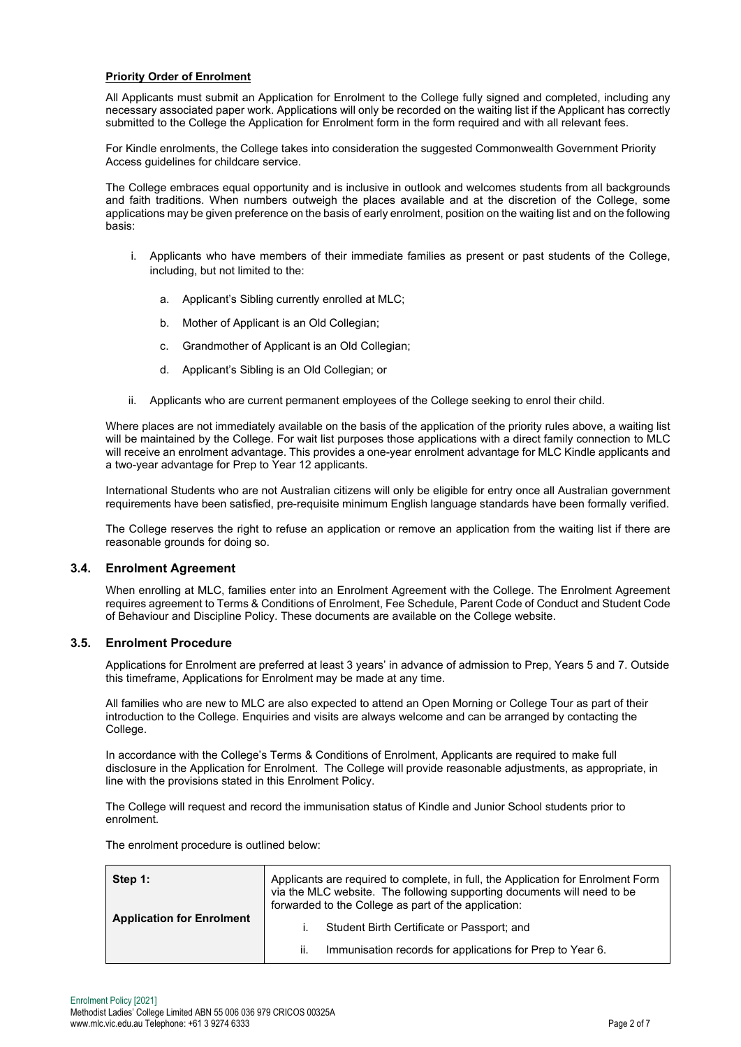## **Priority Order of Enrolment**

All Applicants must submit an Application for Enrolment to the College fully signed and completed, including any necessary associated paper work. Applications will only be recorded on the waiting list if the Applicant has correctly submitted to the College the Application for Enrolment form in the form required and with all relevant fees.

For Kindle enrolments, the College takes into consideration the suggested Commonwealth Government Priority Access guidelines for childcare service.

The College embraces equal opportunity and is inclusive in outlook and welcomes students from all backgrounds and faith traditions. When numbers outweigh the places available and at the discretion of the College, some applications may be given preference on the basis of early enrolment, position on the waiting list and on the following basis:

- i. Applicants who have members of their immediate families as present or past students of the College, including, but not limited to the:
	- a. Applicant's Sibling currently enrolled at MLC;
	- b. Mother of Applicant is an Old Collegian;
	- c. Grandmother of Applicant is an Old Collegian;
	- d. Applicant's Sibling is an Old Collegian; or
- ii. Applicants who are current permanent employees of the College seeking to enrol their child.

Where places are not immediately available on the basis of the application of the priority rules above, a waiting list will be maintained by the College. For wait list purposes those applications with a direct family connection to MLC will receive an enrolment advantage. This provides a one-year enrolment advantage for MLC Kindle applicants and a two-year advantage for Prep to Year 12 applicants.

International Students who are not Australian citizens will only be eligible for entry once all Australian government requirements have been satisfied, pre-requisite minimum English language standards have been formally verified.

The College reserves the right to refuse an application or remove an application from the waiting list if there are reasonable grounds for doing so.

#### **3.4. Enrolment Agreement**

When enrolling at MLC, families enter into an Enrolment Agreement with the College. The Enrolment Agreement requires agreement to Terms & Conditions of Enrolment, Fee Schedule, Parent Code of Conduct and Student Code of Behaviour and Discipline Policy. These documents are available on the College website.

## **3.5. Enrolment Procedure**

Applications for Enrolment are preferred at least 3 years' in advance of admission to Prep, Years 5 and 7. Outside this timeframe, Applications for Enrolment may be made at any time.

All families who are new to MLC are also expected to attend an Open Morning or College Tour as part of their introduction to the College. Enquiries and visits are always welcome and can be arranged by contacting the College.

In accordance with the College's Terms & Conditions of Enrolment, Applicants are required to make full disclosure in the Application for Enrolment. The College will provide reasonable adjustments, as appropriate, in line with the provisions stated in this Enrolment Policy.

The College will request and record the immunisation status of Kindle and Junior School students prior to enrolment.

The enrolment procedure is outlined below:

| Step 1:<br><b>Application for Enrolment</b> | Applicants are required to complete, in full, the Application for Enrolment Form<br>via the MLC website. The following supporting documents will need to be<br>forwarded to the College as part of the application: |  |
|---------------------------------------------|---------------------------------------------------------------------------------------------------------------------------------------------------------------------------------------------------------------------|--|
|                                             | Student Birth Certificate or Passport; and                                                                                                                                                                          |  |
|                                             | Immunisation records for applications for Prep to Year 6.<br>ii.                                                                                                                                                    |  |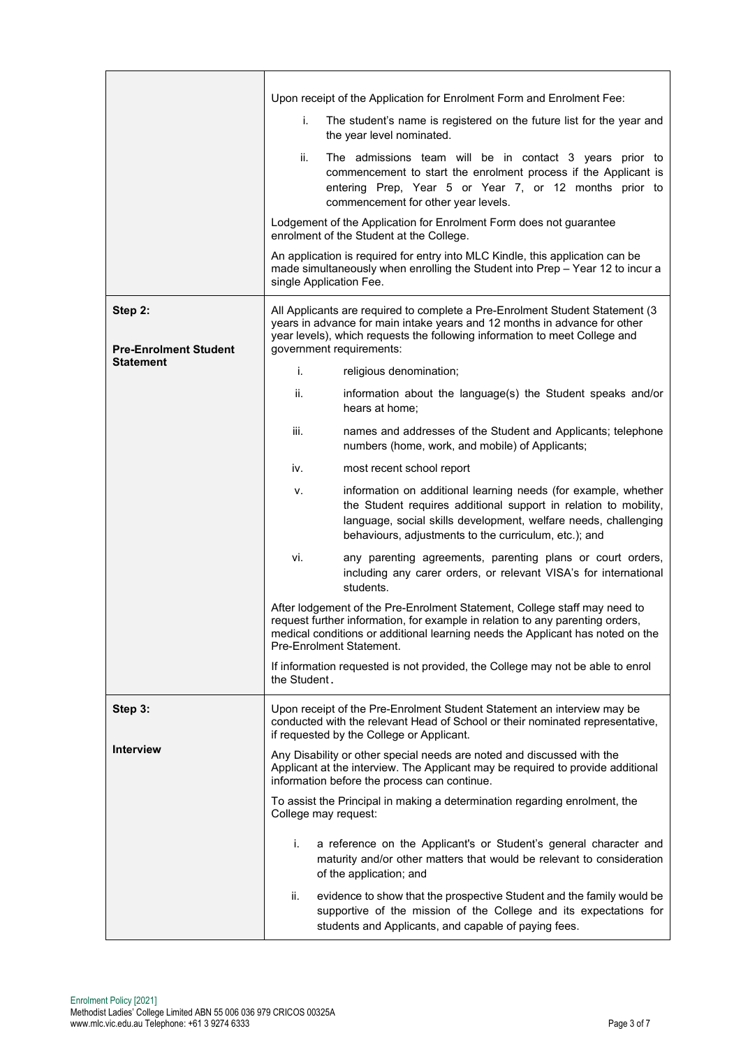|                                         | Upon receipt of the Application for Enrolment Form and Enrolment Fee:                                                                                                                                                                                                    |  |
|-----------------------------------------|--------------------------------------------------------------------------------------------------------------------------------------------------------------------------------------------------------------------------------------------------------------------------|--|
|                                         | The student's name is registered on the future list for the year and<br>i.<br>the year level nominated.                                                                                                                                                                  |  |
|                                         | ii.<br>The admissions team will be in contact 3 years prior to<br>commencement to start the enrolment process if the Applicant is<br>entering Prep, Year 5 or Year 7, or 12 months prior to<br>commencement for other year levels.                                       |  |
|                                         | Lodgement of the Application for Enrolment Form does not guarantee<br>enrolment of the Student at the College.                                                                                                                                                           |  |
|                                         | An application is required for entry into MLC Kindle, this application can be<br>made simultaneously when enrolling the Student into Prep - Year 12 to incur a<br>single Application Fee.                                                                                |  |
| Step 2:<br><b>Pre-Enrolment Student</b> | All Applicants are required to complete a Pre-Enrolment Student Statement (3<br>years in advance for main intake years and 12 months in advance for other<br>year levels), which requests the following information to meet College and<br>government requirements:      |  |
| <b>Statement</b>                        |                                                                                                                                                                                                                                                                          |  |
|                                         | i.<br>religious denomination;                                                                                                                                                                                                                                            |  |
|                                         | ii.<br>information about the language(s) the Student speaks and/or<br>hears at home;                                                                                                                                                                                     |  |
|                                         | iii.<br>names and addresses of the Student and Applicants; telephone<br>numbers (home, work, and mobile) of Applicants;                                                                                                                                                  |  |
|                                         | iv.<br>most recent school report                                                                                                                                                                                                                                         |  |
|                                         | information on additional learning needs (for example, whether<br>۷.<br>the Student requires additional support in relation to mobility,<br>language, social skills development, welfare needs, challenging<br>behaviours, adjustments to the curriculum, etc.); and     |  |
|                                         | vi.<br>any parenting agreements, parenting plans or court orders,<br>including any carer orders, or relevant VISA's for international<br>students.                                                                                                                       |  |
|                                         | After lodgement of the Pre-Enrolment Statement, College staff may need to<br>request further information, for example in relation to any parenting orders,<br>medical conditions or additional learning needs the Applicant has noted on the<br>Pre-Enrolment Statement. |  |
|                                         | If information requested is not provided, the College may not be able to enrol<br>the Student.                                                                                                                                                                           |  |
| Step 3:                                 | Upon receipt of the Pre-Enrolment Student Statement an interview may be<br>conducted with the relevant Head of School or their nominated representative,<br>if requested by the College or Applicant.                                                                    |  |
| <b>Interview</b>                        | Any Disability or other special needs are noted and discussed with the<br>Applicant at the interview. The Applicant may be required to provide additional<br>information before the process can continue.                                                                |  |
|                                         | To assist the Principal in making a determination regarding enrolment, the<br>College may request:                                                                                                                                                                       |  |
|                                         | i.<br>a reference on the Applicant's or Student's general character and<br>maturity and/or other matters that would be relevant to consideration<br>of the application; and                                                                                              |  |
|                                         | evidence to show that the prospective Student and the family would be<br>ii.<br>supportive of the mission of the College and its expectations for<br>students and Applicants, and capable of paying fees.                                                                |  |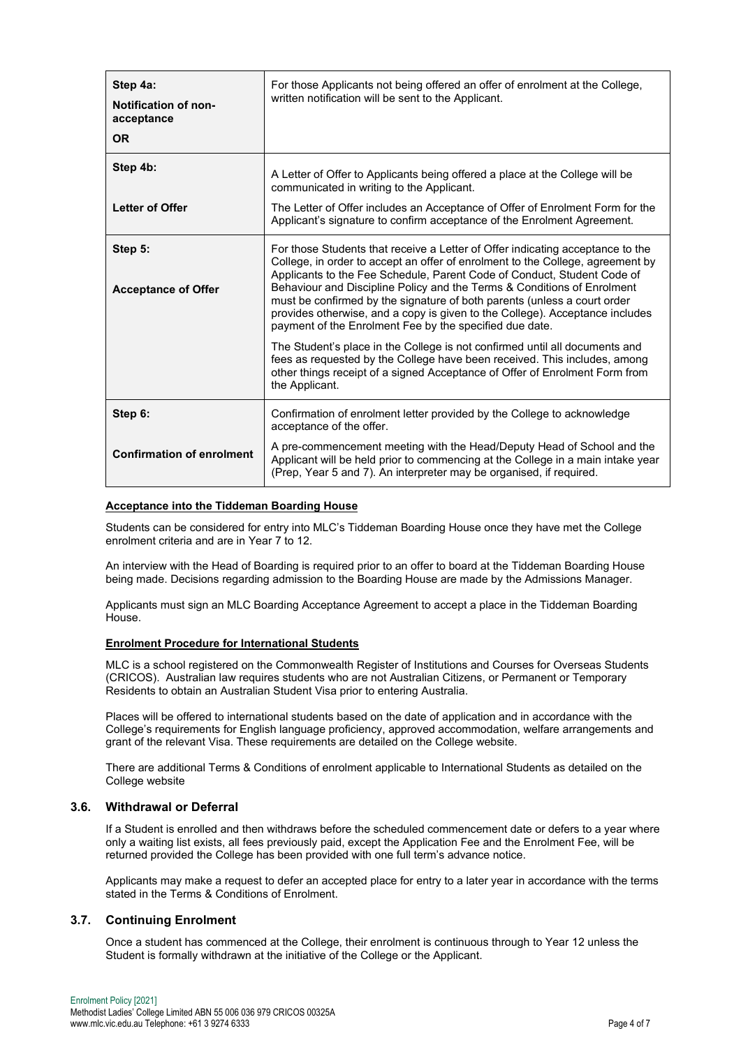| Step 4a:<br><b>Notification of non-</b><br>acceptance<br><b>OR</b> | For those Applicants not being offered an offer of enrolment at the College,<br>written notification will be sent to the Applicant.                                                                                                                                                                                                                                                                                                                                                                                                           |
|--------------------------------------------------------------------|-----------------------------------------------------------------------------------------------------------------------------------------------------------------------------------------------------------------------------------------------------------------------------------------------------------------------------------------------------------------------------------------------------------------------------------------------------------------------------------------------------------------------------------------------|
| Step 4b:                                                           | A Letter of Offer to Applicants being offered a place at the College will be<br>communicated in writing to the Applicant.                                                                                                                                                                                                                                                                                                                                                                                                                     |
| <b>Letter of Offer</b>                                             | The Letter of Offer includes an Acceptance of Offer of Enrolment Form for the<br>Applicant's signature to confirm acceptance of the Enrolment Agreement.                                                                                                                                                                                                                                                                                                                                                                                      |
| Step 5:<br><b>Acceptance of Offer</b>                              | For those Students that receive a Letter of Offer indicating acceptance to the<br>College, in order to accept an offer of enrolment to the College, agreement by<br>Applicants to the Fee Schedule, Parent Code of Conduct, Student Code of<br>Behaviour and Discipline Policy and the Terms & Conditions of Enrolment<br>must be confirmed by the signature of both parents (unless a court order<br>provides otherwise, and a copy is given to the College). Acceptance includes<br>payment of the Enrolment Fee by the specified due date. |
|                                                                    | The Student's place in the College is not confirmed until all documents and<br>fees as requested by the College have been received. This includes, among<br>other things receipt of a signed Acceptance of Offer of Enrolment Form from<br>the Applicant.                                                                                                                                                                                                                                                                                     |
| Step 6:                                                            | Confirmation of enrolment letter provided by the College to acknowledge<br>acceptance of the offer.                                                                                                                                                                                                                                                                                                                                                                                                                                           |
| <b>Confirmation of enrolment</b>                                   | A pre-commencement meeting with the Head/Deputy Head of School and the<br>Applicant will be held prior to commencing at the College in a main intake year<br>(Prep, Year 5 and 7). An interpreter may be organised, if required.                                                                                                                                                                                                                                                                                                              |

#### **Acceptance into the Tiddeman Boarding House**

Students can be considered for entry into MLC's Tiddeman Boarding House once they have met the College enrolment criteria and are in Year 7 to 12.

An interview with the Head of Boarding is required prior to an offer to board at the Tiddeman Boarding House being made. Decisions regarding admission to the Boarding House are made by the Admissions Manager.

Applicants must sign an MLC Boarding Acceptance Agreement to accept a place in the Tiddeman Boarding House.

#### **Enrolment Procedure for International Students**

MLC is a school registered on the Commonwealth Register of Institutions and Courses for Overseas Students (CRICOS). Australian law requires students who are not Australian Citizens, or Permanent or Temporary Residents to obtain an Australian Student Visa prior to entering Australia.

Places will be offered to international students based on the date of application and in accordance with the College's requirements for English language proficiency, approved accommodation, welfare arrangements and grant of the relevant Visa. These requirements are detailed on the College website.

There are additional Terms & Conditions of enrolment applicable to International Students as detailed on the College website

## **3.6. Withdrawal or Deferral**

If a Student is enrolled and then withdraws before the scheduled commencement date or defers to a year where only a waiting list exists, all fees previously paid, except the Application Fee and the Enrolment Fee, will be returned provided the College has been provided with one full term's advance notice.

Applicants may make a request to defer an accepted place for entry to a later year in accordance with the terms stated in the Terms & Conditions of Enrolment.

## **3.7. Continuing Enrolment**

Once a student has commenced at the College, their enrolment is continuous through to Year 12 unless the Student is formally withdrawn at the initiative of the College or the Applicant.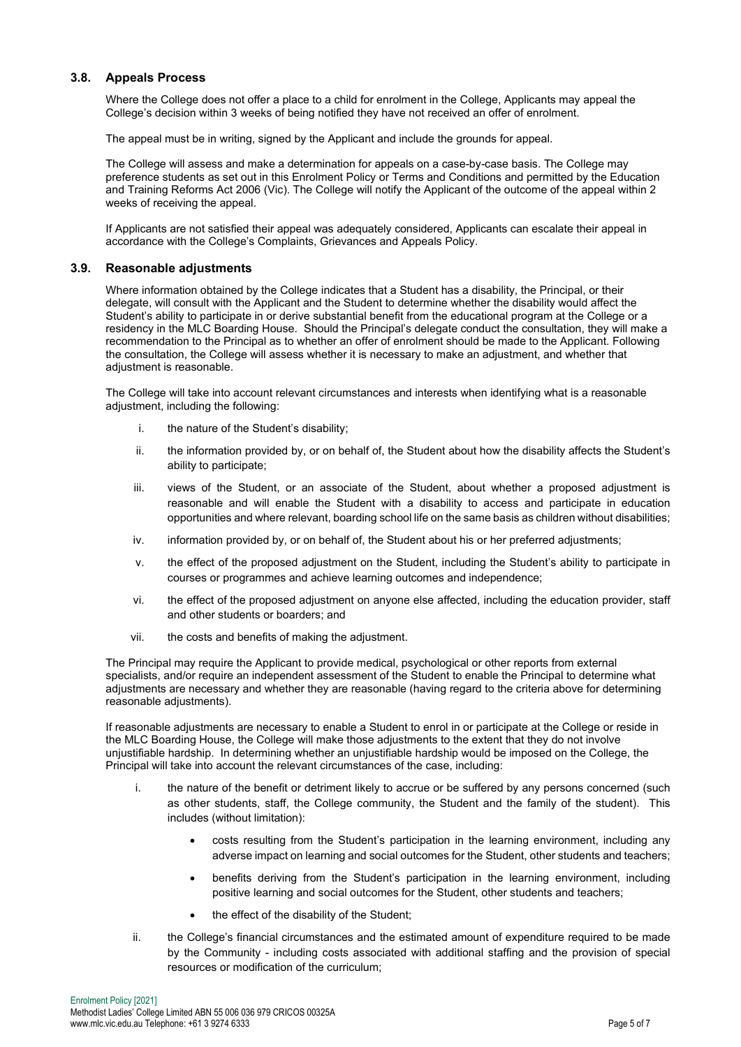## **3.8. Appeals Process**

Where the College does not offer a place to a child for enrolment in the College, Applicants may appeal the College's decision within 3 weeks of being notified they have not received an offer of enrolment.

The appeal must be in writing, signed by the Applicant and include the grounds for appeal.

The College will assess and make a determination for appeals on a case-by-case basis. The College may preference students as set out in this Enrolment Policy or Terms and Conditions and permitted by the Education and Training Reforms Act 2006 (Vic). The College will notify the Applicant of the outcome of the appeal within 2 weeks of receiving the appeal.

If Applicants are not satisfied their appeal was adequately considered, Applicants can escalate their appeal in accordance with the College's Complaints, Grievances and Appeals Policy.

## **3.9. Reasonable adjustments**

Where information obtained by the College indicates that a Student has a disability, the Principal, or their delegate, will consult with the Applicant and the Student to determine whether the disability would affect the Student's ability to participate in or derive substantial benefit from the educational program at the College or a residency in the MLC Boarding House. Should the Principal's delegate conduct the consultation, they will make a recommendation to the Principal as to whether an offer of enrolment should be made to the Applicant. Following the consultation, the College will assess whether it is necessary to make an adjustment, and whether that adiustment is reasonable.

The College will take into account relevant circumstances and interests when identifying what is a reasonable adjustment, including the following:

- i. the nature of the Student's disability;
- ii. the information provided by, or on behalf of, the Student about how the disability affects the Student's ability to participate;
- iii. views of the Student, or an associate of the Student, about whether a proposed adjustment is reasonable and will enable the Student with a disability to access and participate in education opportunities and where relevant, boarding school life on the same basis as children without disabilities;
- iv. information provided by, or on behalf of, the Student about his or her preferred adjustments;
- v. the effect of the proposed adjustment on the Student, including the Student's ability to participate in courses or programmes and achieve learning outcomes and independence;
- vi. the effect of the proposed adjustment on anyone else affected, including the education provider, staff and other students or boarders; and
- vii. the costs and benefits of making the adjustment.

The Principal may require the Applicant to provide medical, psychological or other reports from external specialists, and/or require an independent assessment of the Student to enable the Principal to determine what adjustments are necessary and whether they are reasonable (having regard to the criteria above for determining reasonable adjustments).

If reasonable adjustments are necessary to enable a Student to enrol in or participate at the College or reside in the MLC Boarding House, the College will make those adjustments to the extent that they do not involve unjustifiable hardship. In determining whether an unjustifiable hardship would be imposed on the College, the Principal will take into account the relevant circumstances of the case, including:

- i. the nature of the benefit or detriment likely to accrue or be suffered by any persons concerned (such as other students, staff, the College community, the Student and the family of the student). This includes (without limitation):
	- costs resulting from the Student's participation in the learning environment, including any adverse impact on learning and social outcomes for the Student, other students and teachers;
	- benefits deriving from the Student's participation in the learning environment, including positive learning and social outcomes for the Student, other students and teachers;
	- the effect of the disability of the Student;
- ii. the College's financial circumstances and the estimated amount of expenditure required to be made by the Community - including costs associated with additional staffing and the provision of special resources or modification of the curriculum;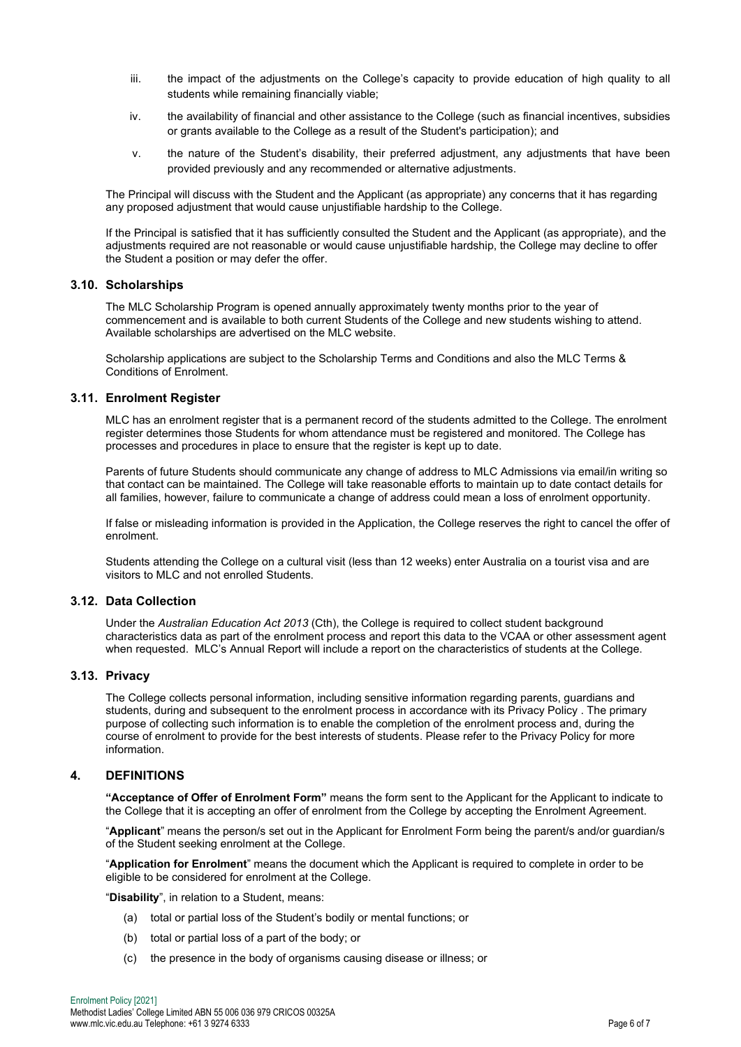- iii. the impact of the adjustments on the College's capacity to provide education of high quality to all students while remaining financially viable;
- iv. the availability of financial and other assistance to the College (such as financial incentives, subsidies or grants available to the College as a result of the Student's participation); and
- v. the nature of the Student's disability, their preferred adjustment, any adjustments that have been provided previously and any recommended or alternative adjustments.

The Principal will discuss with the Student and the Applicant (as appropriate) any concerns that it has regarding any proposed adjustment that would cause unjustifiable hardship to the College.

If the Principal is satisfied that it has sufficiently consulted the Student and the Applicant (as appropriate), and the adjustments required are not reasonable or would cause unjustifiable hardship, the College may decline to offer the Student a position or may defer the offer.

#### **3.10. Scholarships**

The MLC Scholarship Program is opened annually approximately twenty months prior to the year of commencement and is available to both current Students of the College and new students wishing to attend. Available scholarships are advertised on the MLC website.

Scholarship applications are subject to the Scholarship Terms and Conditions and also the MLC Terms & Conditions of Enrolment.

#### **3.11. Enrolment Register**

MLC has an enrolment register that is a permanent record of the students admitted to the College. The enrolment register determines those Students for whom attendance must be registered and monitored. The College has processes and procedures in place to ensure that the register is kept up to date.

Parents of future Students should communicate any change of address to MLC Admissions via email/in writing so that contact can be maintained. The College will take reasonable efforts to maintain up to date contact details for all families, however, failure to communicate a change of address could mean a loss of enrolment opportunity.

If false or misleading information is provided in the Application, the College reserves the right to cancel the offer of enrolment.

Students attending the College on a cultural visit (less than 12 weeks) enter Australia on a tourist visa and are visitors to MLC and not enrolled Students.

#### **3.12. Data Collection**

Under the *Australian Education Act 2013* (Cth), the College is required to collect student background characteristics data as part of the enrolment process and report this data to the VCAA or other assessment agent when requested. MLC's Annual Report will include a report on the characteristics of students at the College.

#### **3.13. Privacy**

The College collects personal information, including sensitive information regarding parents, guardians and students, during and subsequent to the enrolment process in accordance with its [Privacy Policy](https://www.mlc.vic.edu.au/global-footer-nav/privacy-policy) . The primary purpose of collecting such information is to enable the completion of the enrolment process and, during the course of enrolment to provide for the best interests of students. Please refer to the [Privacy Policy](https://www.mlc.vic.edu.au/global-footer-nav/privacy-policy) for more information.

## **4. DEFINITIONS**

**"Acceptance of Offer of Enrolment Form"** means the form sent to the Applicant for the Applicant to indicate to the College that it is accepting an offer of enrolment from the College by accepting the Enrolment Agreement.

"**Applicant**" means the person/s set out in the Applicant for Enrolment Form being the parent/s and/or guardian/s of the Student seeking enrolment at the College.

"**Application for Enrolment**" means the document which the Applicant is required to complete in order to be eligible to be considered for enrolment at the College.

"**Disability**", in relation to a Student, means:

- (a) total or partial loss of the Student's bodily or mental functions; or
- (b) total or partial loss of a part of the body; or
- (c) the presence in the body of organisms causing disease or illness; or